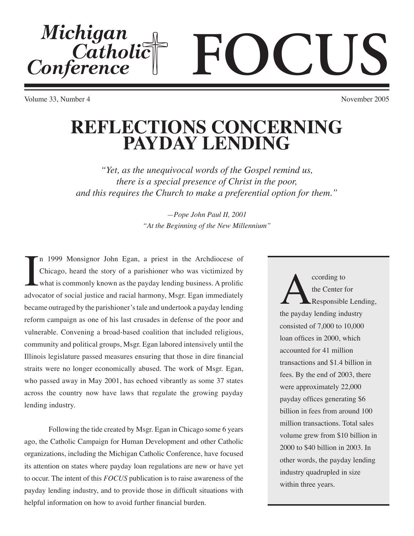# Michigan<br>Catholic<br>Conference **FOCUS**

Volume 33, Number 4 November 2005

## **REFLECTIONS CONCERNING PAYDAY LENDING**

*"Yet, as the unequivocal words of the Gospel remind us, there is a special presence of Christ in the poor, and this requires the Church to make a preferential option for them."*

> *—Pope John Paul II, 2001 "At the Beginning of the New Millennium"*

In 1999 Monsignor John Egan, a priest in the Archdiocese of Chicago, heard the story of a parishioner who was victimized by what is commonly known as the payday lending business. A prolific advocator of social justice and n 1999 Monsignor John Egan, a priest in the Archdiocese of Chicago, heard the story of a parishioner who was victimized by what is commonly known as the payday lending business. A prolific became outraged by the parishioner's tale and undertook a payday lending reform campaign as one of his last crusades in defense of the poor and vulnerable. Convening a broad-based coalition that included religious, community and political groups, Msgr. Egan labored intensively until the Illinois legislature passed measures ensuring that those in dire financial straits were no longer economically abused. The work of Msgr. Egan, who passed away in May 2001, has echoed vibrantly as some 37 states across the country now have laws that regulate the growing payday lending industry.

 Following the tide created by Msgr. Egan in Chicago some 6 years ago, the Catholic Campaign for Human Development and other Catholic organizations, including the Michigan Catholic Conference, have focused its attention on states where payday loan regulations are new or have yet to occur. The intent of this *FOCUS* publication is to raise awareness of the payday lending industry, and to provide those in difficult situations with helpful information on how to avoid further financial burden.

cording to<br>the Center for<br>the payday lending industry the Center for Responsible Lending, consisted of 7,000 to 10,000 loan offices in 2000, which accounted for 41 million transactions and \$1.4 billion in fees. By the end of 2003, there were approximately 22,000 payday offices generating \$6 billion in fees from around 100 million transactions. Total sales volume grew from \$10 billion in 2000 to \$40 billion in 2003. In other words, the payday lending industry quadrupled in size within three years.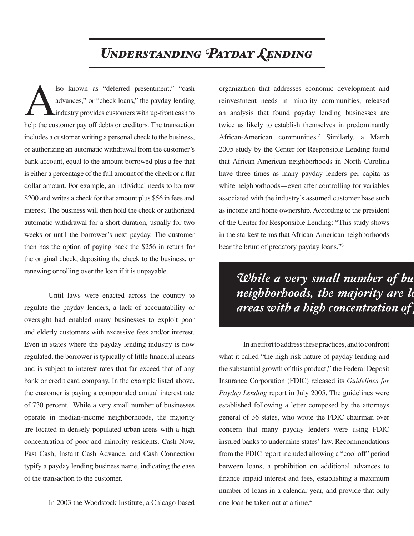## *Understanding Payday Lending*

Iso known as "deferred presentment," "cash<br>advances," or "check loans," the payday lending<br>industry provides customers with up-front cash to<br>help the customer pay off debts or creditors. The transaction advances," or "check loans," the payday lending industry provides customers with up-front cash to help the customer pay off debts or creditors. The transaction includes a customer writing a personal check to the business, or authorizing an automatic withdrawal from the customer's bank account, equal to the amount borrowed plus a fee that is either a percentage of the full amount of the check or a flat dollar amount. For example, an individual needs to borrow \$200 and writes a check for that amount plus \$56 in fees and interest. The business will then hold the check or authorized automatic withdrawal for a short duration, usually for two weeks or until the borrower's next payday. The customer then has the option of paying back the \$256 in return for the original check, depositing the check to the business, or renewing or rolling over the loan if it is unpayable.

 Until laws were enacted across the country to regulate the payday lenders, a lack of accountability or oversight had enabled many businesses to exploit poor and elderly customers with excessive fees and/or interest. Even in states where the payday lending industry is now regulated, the borrower is typically of little financial means and is subject to interest rates that far exceed that of any bank or credit card company. In the example listed above, the customer is paying a compounded annual interest rate of 730 percent.<sup>1</sup> While a very small number of businesses operate in median-income neighborhoods, the majority are located in densely populated urban areas with a high concentration of poor and minority residents. Cash Now, Fast Cash, Instant Cash Advance, and Cash Connection typify a payday lending business name, indicating the ease of the transaction to the customer.

In 2003 the Woodstock Institute, a Chicago-based

organization that addresses economic development and reinvestment needs in minority communities, released an analysis that found payday lending businesses are twice as likely to establish themselves in predominantly African-American communities.<sup>2</sup> Similarly, a March 2005 study by the Center for Responsible Lending found that African-American neighborhoods in North Carolina have three times as many payday lenders per capita as white neighborhoods—even after controlling for variables associated with the industry's assumed customer base such as income and home ownership. According to the president of the Center for Responsible Lending: "This study shows in the starkest terms that African-American neighborhoods bear the brunt of predatory payday loans."3

### *While a very small number of business of the very small number of business*  $\overline{neighborhoods},$  the majority are lo *areas with a high concentration of poor and minority residents.*

 In an effort to address these practices, and to confront what it called "the high risk nature of payday lending and the substantial growth of this product," the Federal Deposit Insurance Corporation (FDIC) released its *Guidelines for Payday Lending* report in July 2005. The guidelines were established following a letter composed by the attorneys general of 36 states, who wrote the FDIC chairman over concern that many payday lenders were using FDIC insured banks to undermine states' law. Recommendations from the FDIC report included allowing a "cool off" period between loans, a prohibition on additional advances to finance unpaid interest and fees, establishing a maximum number of loans in a calendar year, and provide that only one loan be taken out at a time.4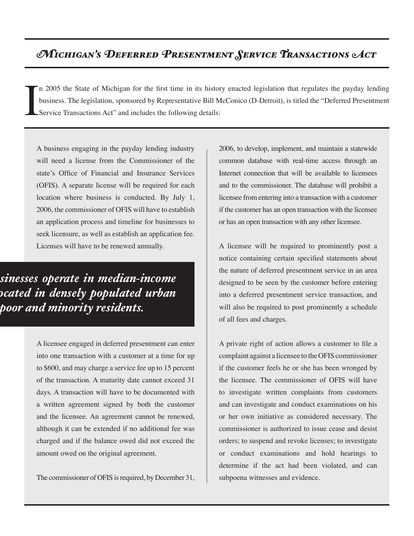#### *Michigan's Deferred Presentment Service Transactions Act*

I n 2005 the State of Michigan for the first time in its history enacted legislation that regulates the payday lending business. The legislation, sponsored by Representative Bill McConico (D-Detroit), is titled the "Deferred Presentment Service Transactions Act" and includes the following details:

A business engaging in the payday lending industry will need a license from the Commissioner of the state's Office of Financial and Insurance Services (OFIS). A separate license will be required for each location where business is conducted. By July 1, 2006, the commissioner of OFIS will have to establish an application process and timeline for businesses to seek licensure, as well as establish an application fee. Licenses will have to be renewed annually.

*While a very small number of businesses operate in median-income neighborhoods, the majority are located in densely populated urban areas with a high concentration of poor and minority residents.*

> A licensee engaged in deferred presentment can enter into one transaction with a customer at a time for up to \$600, and may charge a service fee up to 15 percent of the transaction. A maturity date cannot exceed 31 days. A transaction will have to be documented with a written agreement signed by both the customer and the licensee. An agreement cannot be renewed, although it can be extended if no additional fee was charged and if the balance owed did not exceed the amount owed on the original agreement.

> The commissioner of OFIS is required, by December 31,

2006, to develop, implement, and maintain a statewide common database with real-time access through an Internet connection that will be available to licensees and to the commissioner. The database will prohibit a licensee from entering into a transaction with a customer if the customer has an open transaction with the licensee or has an open transaction with any other licensee.

A licensee will be required to prominently post a notice containing certain specified statements about the nature of deferred presentment service in an area designed to be seen by the customer before entering into a deferred presentment service transaction, and will also be required to post prominently a schedule of all fees and charges.

A private right of action allows a customer to file a complaint against a licensee to the OFIS commissioner if the customer feels he or she has been wronged by the licensee. The commissioner of OFIS will have to investigate written complaints from customers and can investigate and conduct examinations on his or her own initiative as considered necessary. The commissioner is authorized to issue cease and desist orders; to suspend and revoke licenses; to investigate or conduct examinations and hold hearings to determine if the act had been violated, and can subpoena witnesses and evidence.